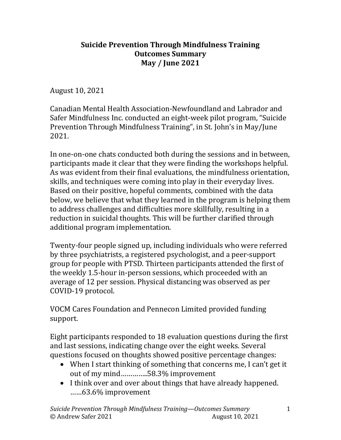## Suicide Prevention Through Mindfulness Training Outcomes Summary May / June 2021

August 10, 2021

Canadian Mental Health Association-Newfoundland and Labrador and Safer Mindfulness Inc. conducted an eight-week pilot program, "Suicide Prevention Through Mindfulness Training", in St. John's in May/June 2021.

In one-on-one chats conducted both during the sessions and in between, participants made it clear that they were finding the workshops helpful. As was evident from their final evaluations, the mindfulness orientation, skills, and techniques were coming into play in their everyday lives. Based on their positive, hopeful comments, combined with the data below, we believe that what they learned in the program is helping them to address challenges and difficulties more skillfully, resulting in a reduction in suicidal thoughts. This will be further clarified through additional program implementation.

Twenty-four people signed up, including individuals who were referred by three psychiatrists, a registered psychologist, and a peer-support group for people with PTSD. Thirteen participants attended the first of the weekly 1.5-hour in-person sessions, which proceeded with an average of 12 per session. Physical distancing was observed as per COVID-19 protocol.

VOCM Cares Foundation and Pennecon Limited provided funding support.

Eight participants responded to 18 evaluation questions during the first and last sessions, indicating change over the eight weeks. Several questions focused on thoughts showed positive percentage changes:

- When I start thinking of something that concerns me, I can't get it out of my mind…………..58.3% improvement
- I think over and over about things that have already happened. ……63.6% improvement